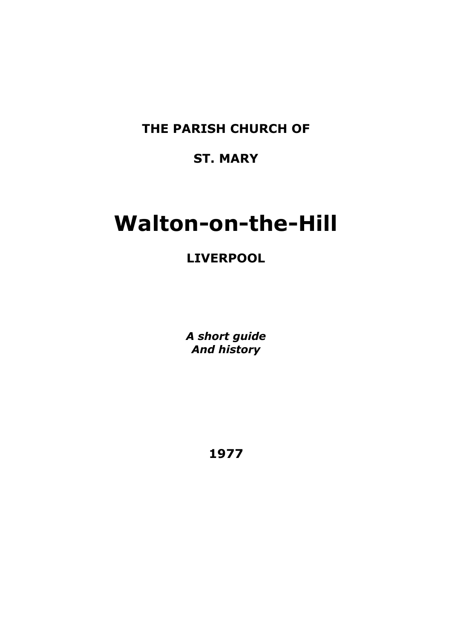**THE PARISH CHURCH OF** 

# **ST. MARY**

# **Walton-on-the-Hill**

# **LIVERPOOL**

*A short guide And history*

**1977**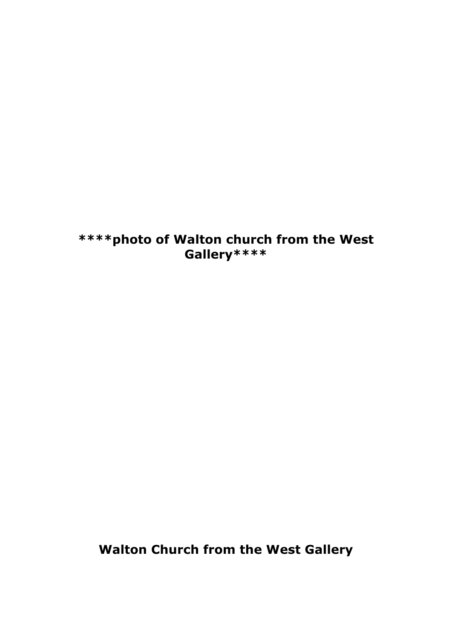**\*\*\*\*photo of Walton church from the West Gallery\*\*\*\***

**Walton Church from the West Gallery**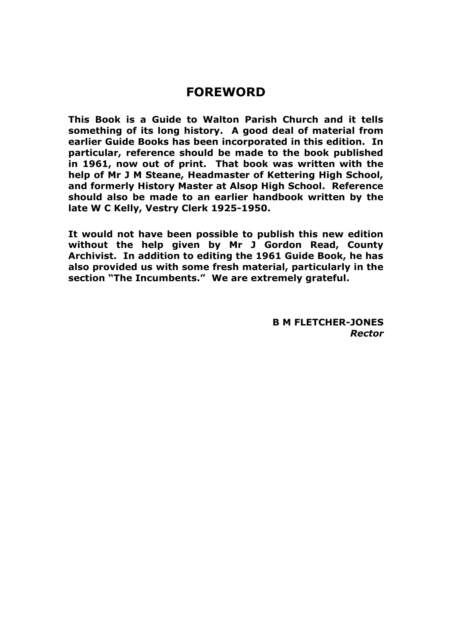#### **FOREWORD**

**This Book is a Guide to Walton Parish Church and it tells something of its long history. A good deal of material from earlier Guide Books has been incorporated in this edition. In particular, reference should be made to the book published in 1961, now out of print. That book was written with the help of Mr J M Steane, Headmaster of Kettering High School, and formerly History Master at Alsop High School. Reference should also be made to an earlier handbook written by the late W C Kelly, Vestry Clerk 1925-1950.**

**It would not have been possible to publish this new edition without the help given by Mr J Gordon Read, County Archivist. In addition to editing the 1961 Guide Book, he has also provided us with some fresh material, particularly in the section "The Incumbents." We are extremely grateful.**

> **B M FLETCHER-JONES** *Rector*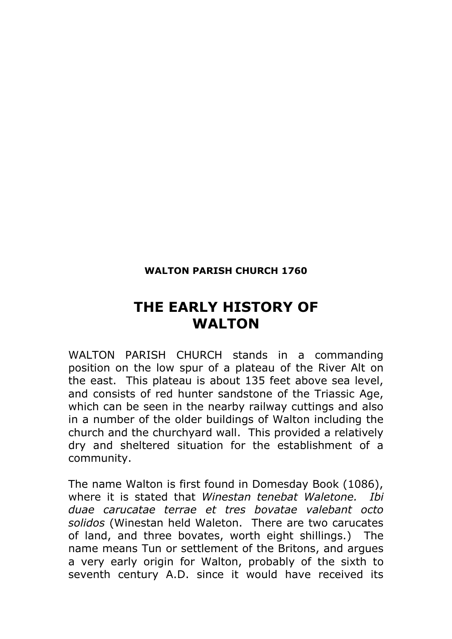#### **WALTON PARISH CHURCH 1760**

# **THE EARLY HISTORY OF WALTON**

WALTON PARISH CHURCH stands in a commanding position on the low spur of a plateau of the River Alt on the east. This plateau is about 135 feet above sea level, and consists of red hunter sandstone of the Triassic Age, which can be seen in the nearby railway cuttings and also in a number of the older buildings of Walton including the church and the churchyard wall. This provided a relatively dry and sheltered situation for the establishment of a community.

The name Walton is first found in Domesday Book (1086), where it is stated that *Winestan tenebat Waletone. Ibi duae carucatae terrae et tres bovatae valebant octo solidos* (Winestan held Waleton. There are two carucates of land, and three bovates, worth eight shillings.) The name means Tun or settlement of the Britons, and argues a very early origin for Walton, probably of the sixth to seventh century A.D. since it would have received its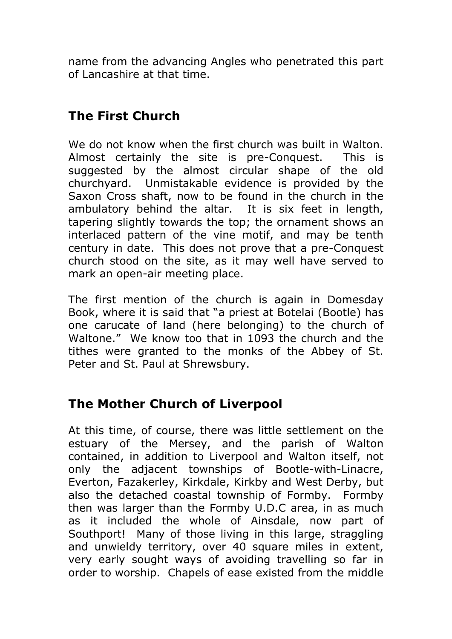name from the advancing Angles who penetrated this part of Lancashire at that time.

# **The First Church**

We do not know when the first church was built in Walton. Almost certainly the site is pre-Conquest. This is suggested by the almost circular shape of the old churchyard. Unmistakable evidence is provided by the Saxon Cross shaft, now to be found in the church in the ambulatory behind the altar. It is six feet in length, tapering slightly towards the top; the ornament shows an interlaced pattern of the vine motif, and may be tenth century in date. This does not prove that a pre-Conquest church stood on the site, as it may well have served to mark an open-air meeting place.

The first mention of the church is again in Domesday Book, where it is said that "a priest at Botelai (Bootle) has one carucate of land (here belonging) to the church of Waltone." We know too that in 1093 the church and the tithes were granted to the monks of the Abbey of St. Peter and St. Paul at Shrewsbury.

# **The Mother Church of Liverpool**

At this time, of course, there was little settlement on the estuary of the Mersey, and the parish of Walton contained, in addition to Liverpool and Walton itself, not only the adjacent townships of Bootle-with-Linacre, Everton, Fazakerley, Kirkdale, Kirkby and West Derby, but also the detached coastal township of Formby. Formby then was larger than the Formby U.D.C area, in as much as it included the whole of Ainsdale, now part of Southport! Many of those living in this large, straggling and unwieldy territory, over 40 square miles in extent, very early sought ways of avoiding travelling so far in order to worship. Chapels of ease existed from the middle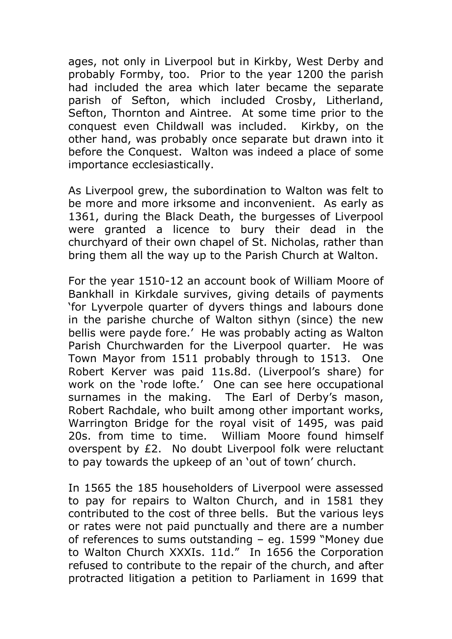ages, not only in Liverpool but in Kirkby, West Derby and probably Formby, too. Prior to the year 1200 the parish had included the area which later became the separate parish of Sefton, which included Crosby, Litherland, Sefton, Thornton and Aintree. At some time prior to the conquest even Childwall was included. Kirkby, on the other hand, was probably once separate but drawn into it before the Conquest. Walton was indeed a place of some importance ecclesiastically.

As Liverpool grew, the subordination to Walton was felt to be more and more irksome and inconvenient. As early as 1361, during the Black Death, the burgesses of Liverpool were granted a licence to bury their dead in the churchyard of their own chapel of St. Nicholas, rather than bring them all the way up to the Parish Church at Walton.

For the year 1510-12 an account book of William Moore of Bankhall in Kirkdale survives, giving details of payments 'for Lyverpole quarter of dyvers things and labours done in the parishe churche of Walton sithyn (since) the new bellis were payde fore.' He was probably acting as Walton Parish Churchwarden for the Liverpool quarter. He was Town Mayor from 1511 probably through to 1513. One Robert Kerver was paid 11s.8d. (Liverpool's share) for work on the 'rode lofte.' One can see here occupational surnames in the making. The Earl of Derby's mason, Robert Rachdale, who built among other important works, Warrington Bridge for the royal visit of 1495, was paid 20s. from time to time. William Moore found himself overspent by £2. No doubt Liverpool folk were reluctant to pay towards the upkeep of an 'out of town' church.

In 1565 the 185 householders of Liverpool were assessed to pay for repairs to Walton Church, and in 1581 they contributed to the cost of three bells. But the various leys or rates were not paid punctually and there are a number of references to sums outstanding – eg. 1599 "Money due to Walton Church XXXIs. 11d." In 1656 the Corporation refused to contribute to the repair of the church, and after protracted litigation a petition to Parliament in 1699 that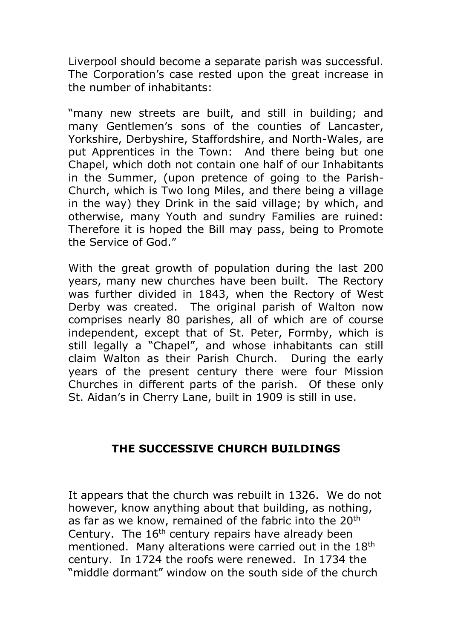Liverpool should become a separate parish was successful. The Corporation's case rested upon the great increase in the number of inhabitants:

"many new streets are built, and still in building; and many Gentlemen's sons of the counties of Lancaster, Yorkshire, Derbyshire, Staffordshire, and North-Wales, are put Apprentices in the Town: And there being but one Chapel, which doth not contain one half of our Inhabitants in the Summer, (upon pretence of going to the Parish-Church, which is Two long Miles, and there being a village in the way) they Drink in the said village; by which, and otherwise, many Youth and sundry Families are ruined: Therefore it is hoped the Bill may pass, being to Promote the Service of God."

With the great growth of population during the last 200 years, many new churches have been built. The Rectory was further divided in 1843, when the Rectory of West Derby was created. The original parish of Walton now comprises nearly 80 parishes, all of which are of course independent, except that of St. Peter, Formby, which is still legally a "Chapel", and whose inhabitants can still claim Walton as their Parish Church. During the early years of the present century there were four Mission Churches in different parts of the parish. Of these only St. Aidan's in Cherry Lane, built in 1909 is still in use.

#### **THE SUCCESSIVE CHURCH BUILDINGS**

It appears that the church was rebuilt in 1326. We do not however, know anything about that building, as nothing, as far as we know, remained of the fabric into the  $20<sup>th</sup>$ Century. The  $16<sup>th</sup>$  century repairs have already been mentioned. Many alterations were carried out in the 18<sup>th</sup> century. In 1724 the roofs were renewed. In 1734 the "middle dormant" window on the south side of the church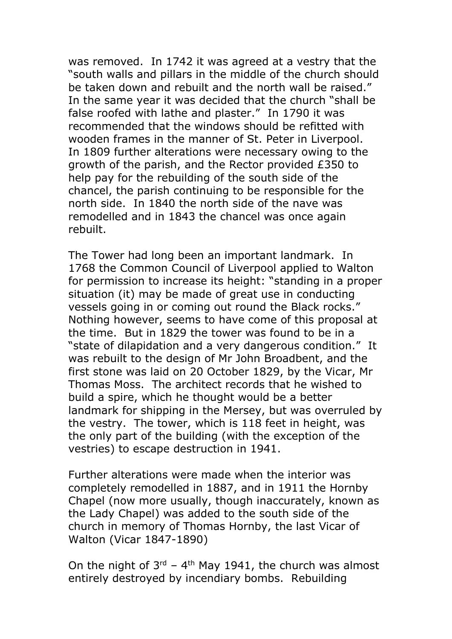was removed. In 1742 it was agreed at a vestry that the "south walls and pillars in the middle of the church should be taken down and rebuilt and the north wall be raised." In the same year it was decided that the church "shall be false roofed with lathe and plaster." In 1790 it was recommended that the windows should be refitted with wooden frames in the manner of St. Peter in Liverpool. In 1809 further alterations were necessary owing to the growth of the parish, and the Rector provided £350 to help pay for the rebuilding of the south side of the chancel, the parish continuing to be responsible for the north side. In 1840 the north side of the nave was remodelled and in 1843 the chancel was once again rebuilt.

The Tower had long been an important landmark. In 1768 the Common Council of Liverpool applied to Walton for permission to increase its height: "standing in a proper situation (it) may be made of great use in conducting vessels going in or coming out round the Black rocks." Nothing however, seems to have come of this proposal at the time. But in 1829 the tower was found to be in a "state of dilapidation and a very dangerous condition." It was rebuilt to the design of Mr John Broadbent, and the first stone was laid on 20 October 1829, by the Vicar, Mr Thomas Moss. The architect records that he wished to build a spire, which he thought would be a better landmark for shipping in the Mersey, but was overruled by the vestry. The tower, which is 118 feet in height, was the only part of the building (with the exception of the vestries) to escape destruction in 1941.

Further alterations were made when the interior was completely remodelled in 1887, and in 1911 the Hornby Chapel (now more usually, though inaccurately, known as the Lady Chapel) was added to the south side of the church in memory of Thomas Hornby, the last Vicar of Walton (Vicar 1847-1890)

On the night of  $3^{rd}$  – 4<sup>th</sup> May 1941, the church was almost entirely destroyed by incendiary bombs. Rebuilding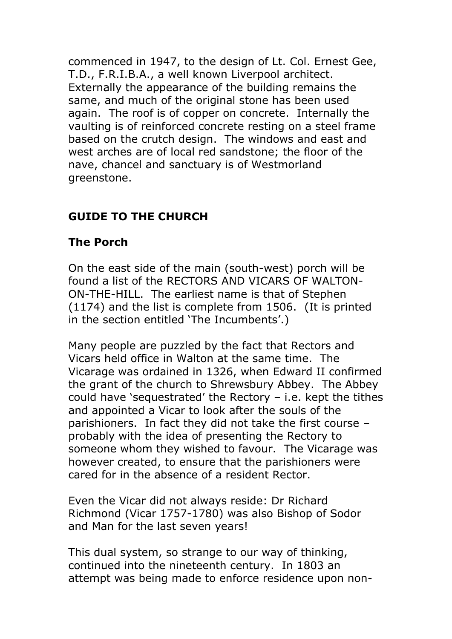commenced in 1947, to the design of Lt. Col. Ernest Gee, T.D., F.R.I.B.A., a well known Liverpool architect. Externally the appearance of the building remains the same, and much of the original stone has been used again. The roof is of copper on concrete. Internally the vaulting is of reinforced concrete resting on a steel frame based on the crutch design. The windows and east and west arches are of local red sandstone; the floor of the nave, chancel and sanctuary is of Westmorland greenstone.

# **GUIDE TO THE CHURCH**

### **The Porch**

On the east side of the main (south-west) porch will be found a list of the RECTORS AND VICARS OF WALTON-ON-THE-HILL. The earliest name is that of Stephen (1174) and the list is complete from 1506. (It is printed in the section entitled 'The Incumbents'.)

Many people are puzzled by the fact that Rectors and Vicars held office in Walton at the same time. The Vicarage was ordained in 1326, when Edward II confirmed the grant of the church to Shrewsbury Abbey. The Abbey could have 'sequestrated' the Rectory – i.e. kept the tithes and appointed a Vicar to look after the souls of the parishioners. In fact they did not take the first course – probably with the idea of presenting the Rectory to someone whom they wished to favour. The Vicarage was however created, to ensure that the parishioners were cared for in the absence of a resident Rector.

Even the Vicar did not always reside: Dr Richard Richmond (Vicar 1757-1780) was also Bishop of Sodor and Man for the last seven years!

This dual system, so strange to our way of thinking, continued into the nineteenth century. In 1803 an attempt was being made to enforce residence upon non-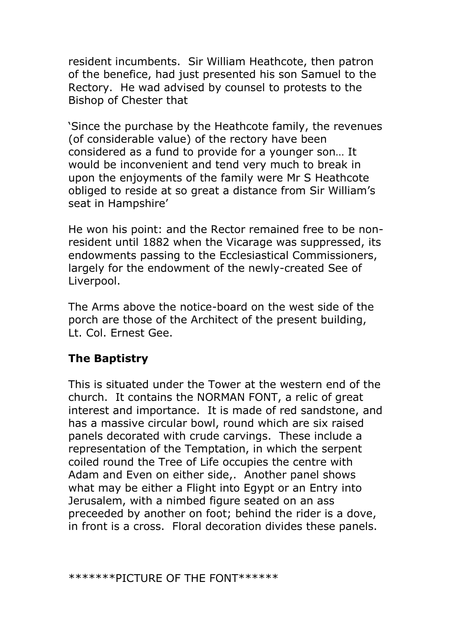resident incumbents. Sir William Heathcote, then patron of the benefice, had just presented his son Samuel to the Rectory. He wad advised by counsel to protests to the Bishop of Chester that

'Since the purchase by the Heathcote family, the revenues (of considerable value) of the rectory have been considered as a fund to provide for a younger son… It would be inconvenient and tend very much to break in upon the enjoyments of the family were Mr S Heathcote obliged to reside at so great a distance from Sir William's seat in Hampshire'

He won his point: and the Rector remained free to be nonresident until 1882 when the Vicarage was suppressed, its endowments passing to the Ecclesiastical Commissioners, largely for the endowment of the newly-created See of Liverpool.

The Arms above the notice-board on the west side of the porch are those of the Architect of the present building, Lt. Col. Ernest Gee.

#### **The Baptistry**

This is situated under the Tower at the western end of the church. It contains the NORMAN FONT, a relic of great interest and importance. It is made of red sandstone, and has a massive circular bowl, round which are six raised panels decorated with crude carvings. These include a representation of the Temptation, in which the serpent coiled round the Tree of Life occupies the centre with Adam and Even on either side,. Another panel shows what may be either a Flight into Egypt or an Entry into Jerusalem, with a nimbed figure seated on an ass preceeded by another on foot; behind the rider is a dove, in front is a cross. Floral decoration divides these panels.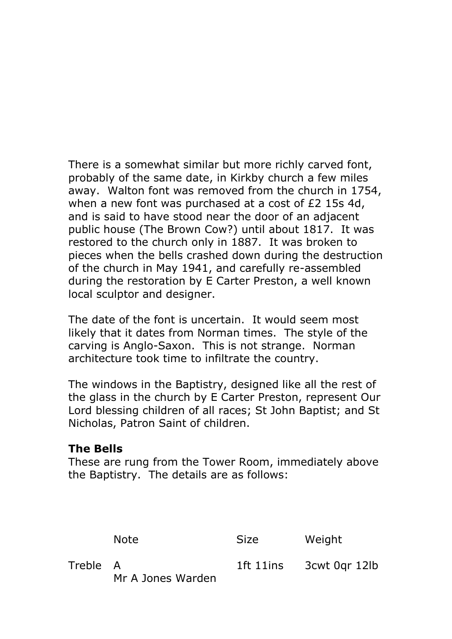There is a somewhat similar but more richly carved font, probably of the same date, in Kirkby church a few miles away. Walton font was removed from the church in 1754, when a new font was purchased at a cost of £2 15s 4d, and is said to have stood near the door of an adjacent public house (The Brown Cow?) until about 1817. It was restored to the church only in 1887. It was broken to pieces when the bells crashed down during the destruction of the church in May 1941, and carefully re-assembled during the restoration by E Carter Preston, a well known local sculptor and designer.

The date of the font is uncertain. It would seem most likely that it dates from Norman times. The style of the carving is Anglo-Saxon. This is not strange. Norman architecture took time to infiltrate the country.

The windows in the Baptistry, designed like all the rest of the glass in the church by E Carter Preston, represent Our Lord blessing children of all races; St John Baptist; and St Nicholas, Patron Saint of children.

# **The Bells**

These are rung from the Tower Room, immediately above the Baptistry. The details are as follows:

|          | <b>Note</b>       | <b>Size</b> | Weight        |
|----------|-------------------|-------------|---------------|
| Treble A | Mr A Jones Warden | 1ft 11ins   | 3cwt 0gr 12lb |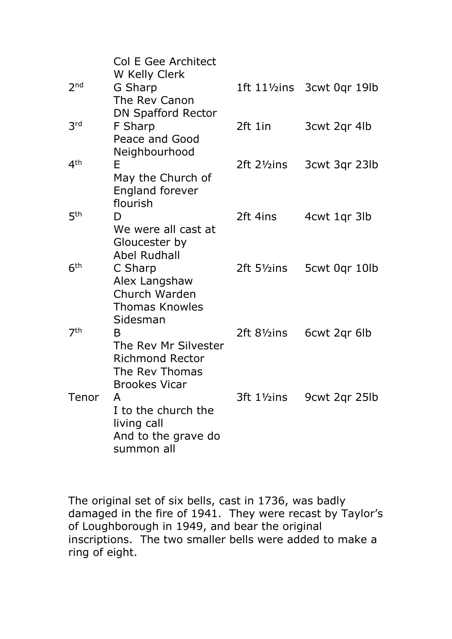|                 | <b>Col E Gee Architect</b><br>W Kelly Clerk                                                   |                          |                            |
|-----------------|-----------------------------------------------------------------------------------------------|--------------------------|----------------------------|
| 2 <sub>nd</sub> | G Sharp<br>The Rev Canon                                                                      |                          | 1ft 111/2ins 3cwt 0qr 19lb |
| 3 <sup>rd</sup> | <b>DN Spafford Rector</b><br>F Sharp                                                          | 2ft 1in                  | 3 cwt 2 qr 4 lb            |
|                 | Peace and Good<br>Neighbourhood                                                               |                          |                            |
| 4 <sup>th</sup> | Е<br>May the Church of<br><b>England forever</b>                                              | 2ft 21/ <sub>2</sub> ins | 3cwt 3qr 23lb              |
| 5 <sup>th</sup> | flourish<br>D<br>We were all cast at                                                          | 2ft 4ins                 | 4 cwt 1 qr 3 lb            |
|                 | Gloucester by<br><b>Abel Rudhall</b>                                                          |                          |                            |
| 6 <sup>th</sup> | C Sharp<br>Alex Langshaw<br>Church Warden<br><b>Thomas Knowles</b><br>Sidesman                | $2ft 5\frac{1}{2}$ ins   | 5 cwt 0 qr 10 lb           |
| 7 <sup>th</sup> | B<br>The Rev Mr Silvester<br><b>Richmond Rector</b><br>The Rev Thomas<br><b>Brookes Vicar</b> | 2ft 81/ <sub>2</sub> ins | 6 cwt 2 qr 6 lb            |
| Tenor           | A<br>I to the church the<br>living call<br>And to the grave do<br>summon all                  |                          | 3ft 11/2ins 9cwt 2qr 25lb  |

The original set of six bells, cast in 1736, was badly damaged in the fire of 1941. They were recast by Taylor's of Loughborough in 1949, and bear the original inscriptions. The two smaller bells were added to make a ring of eight.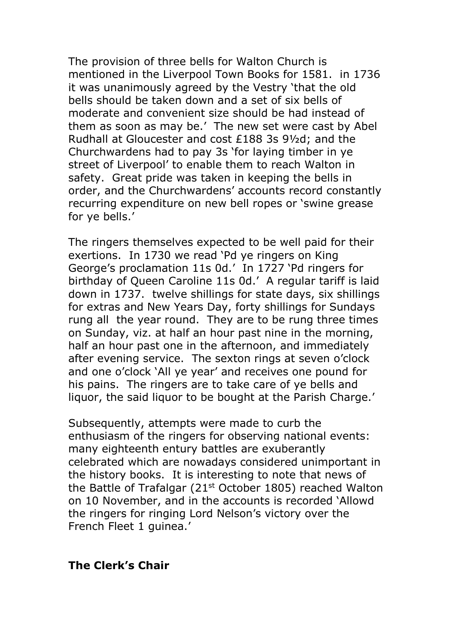The provision of three bells for Walton Church is mentioned in the Liverpool Town Books for 1581. in 1736 it was unanimously agreed by the Vestry 'that the old bells should be taken down and a set of six bells of moderate and convenient size should be had instead of them as soon as may be.' The new set were cast by Abel Rudhall at Gloucester and cost £188 3s 9½d; and the Churchwardens had to pay 3s 'for laying timber in ye street of Liverpool' to enable them to reach Walton in safety. Great pride was taken in keeping the bells in order, and the Churchwardens' accounts record constantly recurring expenditure on new bell ropes or 'swine grease for ye bells.'

The ringers themselves expected to be well paid for their exertions. In 1730 we read 'Pd ye ringers on King George's proclamation 11s 0d.' In 1727 'Pd ringers for birthday of Queen Caroline 11s 0d.' A regular tariff is laid down in 1737. twelve shillings for state days, six shillings for extras and New Years Day, forty shillings for Sundays rung all the year round. They are to be rung three times on Sunday, viz. at half an hour past nine in the morning, half an hour past one in the afternoon, and immediately after evening service. The sexton rings at seven o'clock and one o'clock 'All ye year' and receives one pound for his pains. The ringers are to take care of ye bells and liquor, the said liquor to be bought at the Parish Charge.'

Subsequently, attempts were made to curb the enthusiasm of the ringers for observing national events: many eighteenth entury battles are exuberantly celebrated which are nowadays considered unimportant in the history books. It is interesting to note that news of the Battle of Trafalgar (21<sup>st</sup> October 1805) reached Walton on 10 November, and in the accounts is recorded 'Allowd the ringers for ringing Lord Nelson's victory over the French Fleet 1 guinea.'

#### **The Clerk's Chair**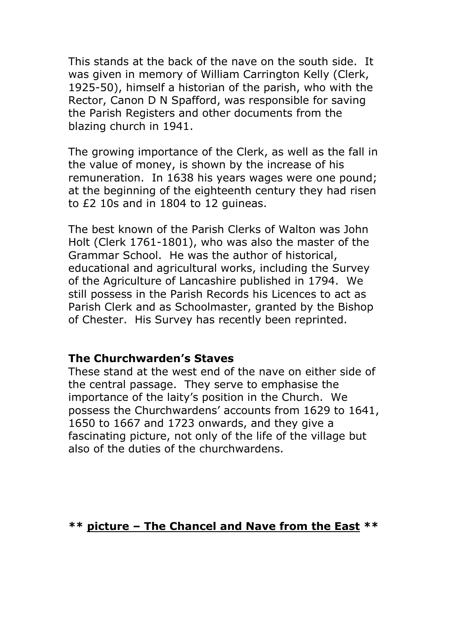This stands at the back of the nave on the south side. It was given in memory of William Carrington Kelly (Clerk, 1925-50), himself a historian of the parish, who with the Rector, Canon D N Spafford, was responsible for saving the Parish Registers and other documents from the blazing church in 1941.

The growing importance of the Clerk, as well as the fall in the value of money, is shown by the increase of his remuneration. In 1638 his years wages were one pound; at the beginning of the eighteenth century they had risen to £2 10s and in 1804 to 12 guineas.

The best known of the Parish Clerks of Walton was John Holt (Clerk 1761-1801), who was also the master of the Grammar School. He was the author of historical, educational and agricultural works, including the Survey of the Agriculture of Lancashire published in 1794. We still possess in the Parish Records his Licences to act as Parish Clerk and as Schoolmaster, granted by the Bishop of Chester. His Survey has recently been reprinted.

#### **The Churchwarden's Staves**

These stand at the west end of the nave on either side of the central passage. They serve to emphasise the importance of the laity's position in the Church. We possess the Churchwardens' accounts from 1629 to 1641, 1650 to 1667 and 1723 onwards, and they give a fascinating picture, not only of the life of the village but also of the duties of the churchwardens.

#### **\*\* picture – The Chancel and Nave from the East \*\***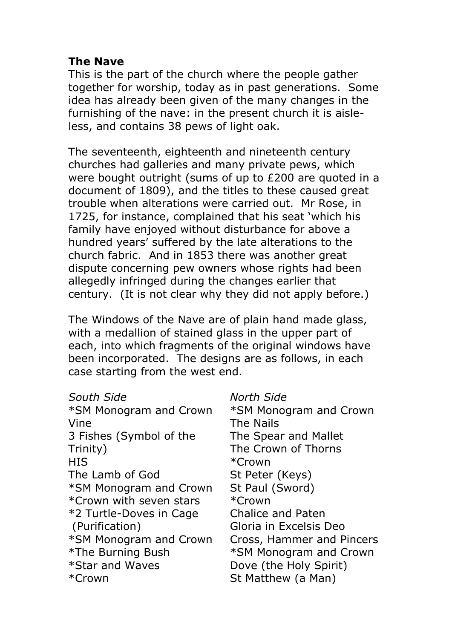#### **The Nave**

This is the part of the church where the people gather together for worship, today as in past generations. Some idea has already been given of the many changes in the furnishing of the nave: in the present church it is aisleless, and contains 38 pews of light oak.

The seventeenth, eighteenth and nineteenth century churches had galleries and many private pews, which were bought outright (sums of up to £200 are quoted in a document of 1809), and the titles to these caused great trouble when alterations were carried out. Mr Rose, in 1725, for instance, complained that his seat 'which his family have enjoyed without disturbance for above a hundred years' suffered by the late alterations to the church fabric. And in 1853 there was another great dispute concerning pew owners whose rights had been allegedly infringed during the changes earlier that century. (It is not clear why they did not apply before.)

The Windows of the Nave are of plain hand made glass, with a medallion of stained glass in the upper part of each, into which fragments of the original windows have been incorporated. The designs are as follows, in each case starting from the west end.

| South Side              | <b>North Side</b>         |
|-------------------------|---------------------------|
| *SM Monogram and Crown  | *SM Monogram and Crown    |
| Vine                    | The Nails                 |
| 3 Fishes (Symbol of the | The Spear and Mallet      |
| Trinity)                | The Crown of Thorns       |
| <b>HIS</b>              | *Crown                    |
| The Lamb of God         | St Peter (Keys)           |
| *SM Monogram and Crown  | St Paul (Sword)           |
| *Crown with seven stars | *Crown                    |
| *2 Turtle-Doves in Cage | <b>Chalice and Paten</b>  |
| (Purification)          | Gloria in Excelsis Deo    |
| *SM Monogram and Crown  | Cross, Hammer and Pincers |
| *The Burning Bush       | *SM Monogram and Crown    |
| *Star and Waves         | Dove (the Holy Spirit)    |
| *Crown                  | St Matthew (a Man)        |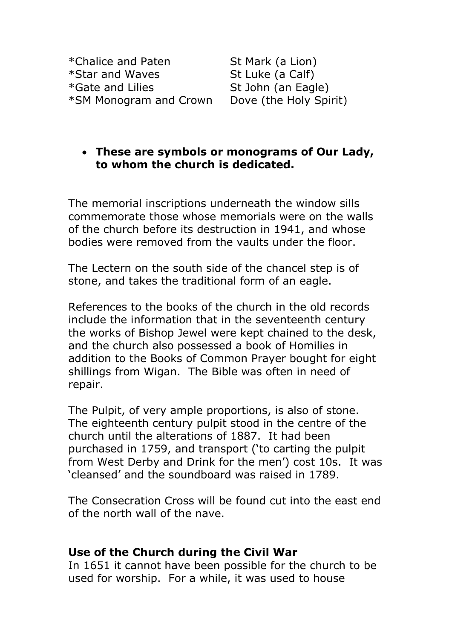\*Chalice and Paten \*Star and Waves \*Gate and Lilies \*SM Monogram and Crown St Mark (a Lion) St Luke (a Calf) St John (an Eagle) Dove (the Holy Spirit)

#### • **These are symbols or monograms of Our Lady, to whom the church is dedicated.**

The memorial inscriptions underneath the window sills commemorate those whose memorials were on the walls of the church before its destruction in 1941, and whose bodies were removed from the vaults under the floor.

The Lectern on the south side of the chancel step is of stone, and takes the traditional form of an eagle.

References to the books of the church in the old records include the information that in the seventeenth century the works of Bishop Jewel were kept chained to the desk, and the church also possessed a book of Homilies in addition to the Books of Common Prayer bought for eight shillings from Wigan. The Bible was often in need of repair.

The Pulpit, of very ample proportions, is also of stone. The eighteenth century pulpit stood in the centre of the church until the alterations of 1887. It had been purchased in 1759, and transport ('to carting the pulpit from West Derby and Drink for the men') cost 10s. It was 'cleansed' and the soundboard was raised in 1789.

The Consecration Cross will be found cut into the east end of the north wall of the nave.

#### **Use of the Church during the Civil War**

In 1651 it cannot have been possible for the church to be used for worship. For a while, it was used to house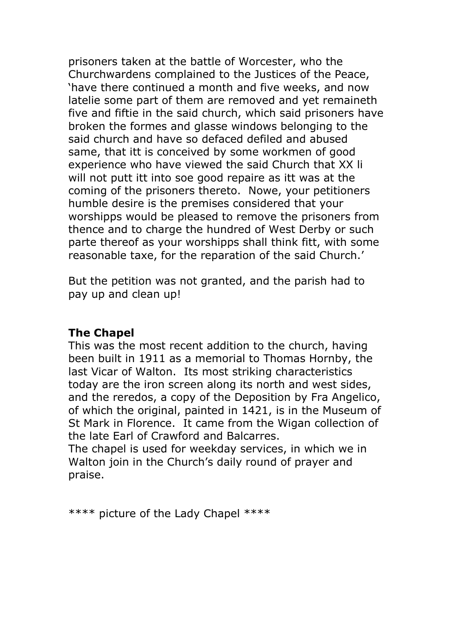prisoners taken at the battle of Worcester, who the Churchwardens complained to the Justices of the Peace, 'have there continued a month and five weeks, and now latelie some part of them are removed and yet remaineth five and fiftie in the said church, which said prisoners have broken the formes and glasse windows belonging to the said church and have so defaced defiled and abused same, that itt is conceived by some workmen of good experience who have viewed the said Church that XX li will not putt itt into soe good repaire as itt was at the coming of the prisoners thereto. Nowe, your petitioners humble desire is the premises considered that your worshipps would be pleased to remove the prisoners from thence and to charge the hundred of West Derby or such parte thereof as your worshipps shall think fitt, with some reasonable taxe, for the reparation of the said Church.'

But the petition was not granted, and the parish had to pay up and clean up!

#### **The Chapel**

This was the most recent addition to the church, having been built in 1911 as a memorial to Thomas Hornby, the last Vicar of Walton. Its most striking characteristics today are the iron screen along its north and west sides, and the reredos, a copy of the Deposition by Fra Angelico, of which the original, painted in 1421, is in the Museum of St Mark in Florence. It came from the Wigan collection of the late Earl of Crawford and Balcarres.

The chapel is used for weekday services, in which we in Walton join in the Church's daily round of prayer and praise.

\*\*\*\* picture of the Lady Chapel \*\*\*\*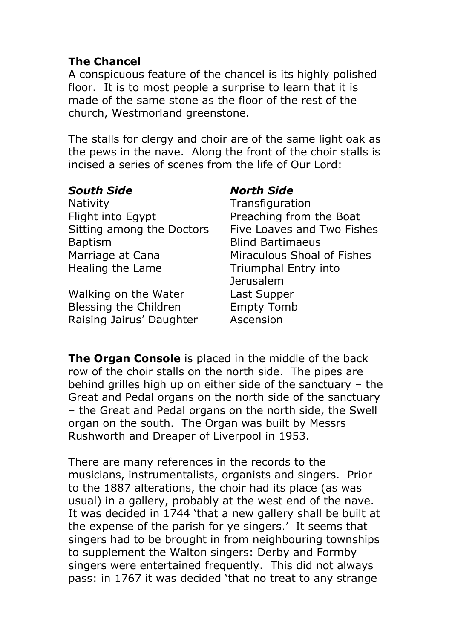#### **The Chancel**

A conspicuous feature of the chancel is its highly polished floor. It is to most people a surprise to learn that it is made of the same stone as the floor of the rest of the church, Westmorland greenstone.

The stalls for clergy and choir are of the same light oak as the pews in the nave. Along the front of the choir stalls is incised a series of scenes from the life of Our Lord:

#### *South Side North Side*

Nativity **Nativity** Transfiguration Flight into Egypt Preaching from the Boat Baptism Blind Bartimaeus Marriage at Cana **Miraculous Shoal of Fishes** Healing the Lame Triumphal Entry into

Walking on the Water Last Supper Blessing the Children **Empty Tomb** Raising Jairus' Daughter Ascension

Sitting among the Doctors Five Loaves and Two Fishes Jerusalem

**The Organ Console** is placed in the middle of the back row of the choir stalls on the north side. The pipes are behind grilles high up on either side of the sanctuary – the Great and Pedal organs on the north side of the sanctuary – the Great and Pedal organs on the north side, the Swell organ on the south. The Organ was built by Messrs Rushworth and Dreaper of Liverpool in 1953.

There are many references in the records to the musicians, instrumentalists, organists and singers. Prior to the 1887 alterations, the choir had its place (as was usual) in a gallery, probably at the west end of the nave. It was decided in 1744 'that a new gallery shall be built at the expense of the parish for ye singers.' It seems that singers had to be brought in from neighbouring townships to supplement the Walton singers: Derby and Formby singers were entertained frequently. This did not always pass: in 1767 it was decided 'that no treat to any strange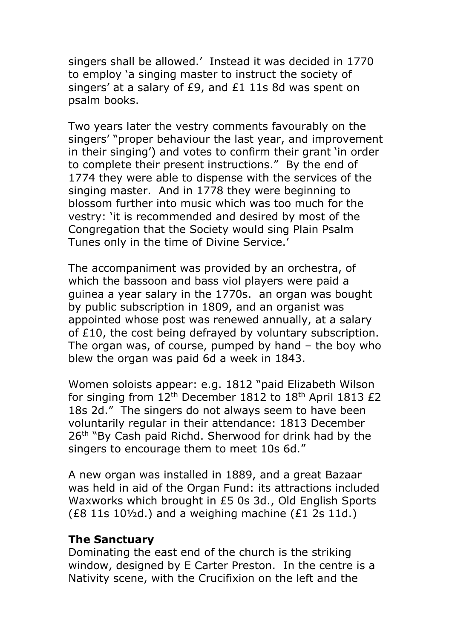singers shall be allowed.' Instead it was decided in 1770 to employ 'a singing master to instruct the society of singers' at a salary of £9, and £1 11s 8d was spent on psalm books.

Two years later the vestry comments favourably on the singers' "proper behaviour the last year, and improvement in their singing') and votes to confirm their grant 'in order to complete their present instructions." By the end of 1774 they were able to dispense with the services of the singing master. And in 1778 they were beginning to blossom further into music which was too much for the vestry: 'it is recommended and desired by most of the Congregation that the Society would sing Plain Psalm Tunes only in the time of Divine Service.'

The accompaniment was provided by an orchestra, of which the bassoon and bass viol players were paid a guinea a year salary in the 1770s. an organ was bought by public subscription in 1809, and an organist was appointed whose post was renewed annually, at a salary of £10, the cost being defrayed by voluntary subscription. The organ was, of course, pumped by hand – the boy who blew the organ was paid 6d a week in 1843.

Women soloists appear: e.g. 1812 "paid Elizabeth Wilson for singing from 12th December 1812 to 18th April 1813 £2 18s 2d." The singers do not always seem to have been voluntarily regular in their attendance: 1813 December 26<sup>th</sup> "By Cash paid Richd. Sherwood for drink had by the singers to encourage them to meet 10s 6d."

A new organ was installed in 1889, and a great Bazaar was held in aid of the Organ Fund: its attractions included Waxworks which brought in £5 0s 3d., Old English Sports (£8 11s 10½d.) and a weighing machine (£1 2s 11d.)

#### **The Sanctuary**

Dominating the east end of the church is the striking window, designed by E Carter Preston. In the centre is a Nativity scene, with the Crucifixion on the left and the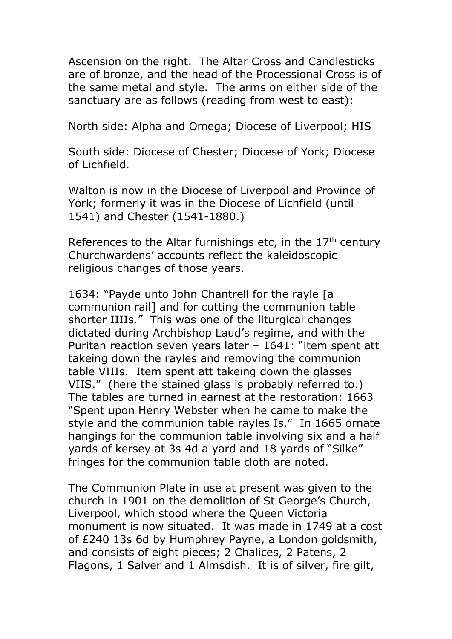Ascension on the right. The Altar Cross and Candlesticks are of bronze, and the head of the Processional Cross is of the same metal and style. The arms on either side of the sanctuary are as follows (reading from west to east):

North side: Alpha and Omega; Diocese of Liverpool; HIS

South side: Diocese of Chester; Diocese of York; Diocese of Lichfield.

Walton is now in the Diocese of Liverpool and Province of York; formerly it was in the Diocese of Lichfield (until 1541) and Chester (1541-1880.)

References to the Altar furnishings etc, in the  $17<sup>th</sup>$  century Churchwardens' accounts reflect the kaleidoscopic religious changes of those years.

1634: "Payde unto John Chantrell for the rayle [a communion rail] and for cutting the communion table shorter IIIIs." This was one of the liturgical changes dictated during Archbishop Laud's regime, and with the Puritan reaction seven years later – 1641: "item spent att takeing down the rayles and removing the communion table VIIIs. Item spent att takeing down the glasses VIIS." (here the stained glass is probably referred to.) The tables are turned in earnest at the restoration: 1663 "Spent upon Henry Webster when he came to make the style and the communion table rayles Is." In 1665 ornate hangings for the communion table involving six and a half yards of kersey at 3s 4d a yard and 18 yards of "Silke" fringes for the communion table cloth are noted.

The Communion Plate in use at present was given to the church in 1901 on the demolition of St George's Church, Liverpool, which stood where the Queen Victoria monument is now situated. It was made in 1749 at a cost of £240 13s 6d by Humphrey Payne, a London goldsmith, and consists of eight pieces; 2 Chalices, 2 Patens, 2 Flagons, 1 Salver and 1 Almsdish. It is of silver, fire gilt,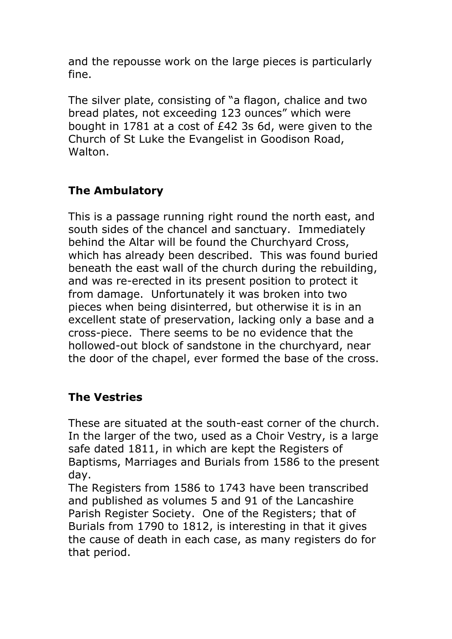and the repousse work on the large pieces is particularly fine.

The silver plate, consisting of "a flagon, chalice and two bread plates, not exceeding 123 ounces" which were bought in 1781 at a cost of £42 3s 6d, were given to the Church of St Luke the Evangelist in Goodison Road, Walton.

# **The Ambulatory**

This is a passage running right round the north east, and south sides of the chancel and sanctuary. Immediately behind the Altar will be found the Churchyard Cross, which has already been described. This was found buried beneath the east wall of the church during the rebuilding, and was re-erected in its present position to protect it from damage. Unfortunately it was broken into two pieces when being disinterred, but otherwise it is in an excellent state of preservation, lacking only a base and a cross-piece. There seems to be no evidence that the hollowed-out block of sandstone in the churchyard, near the door of the chapel, ever formed the base of the cross.

#### **The Vestries**

These are situated at the south-east corner of the church. In the larger of the two, used as a Choir Vestry, is a large safe dated 1811, in which are kept the Registers of Baptisms, Marriages and Burials from 1586 to the present day.

The Registers from 1586 to 1743 have been transcribed and published as volumes 5 and 91 of the Lancashire Parish Register Society. One of the Registers; that of Burials from 1790 to 1812, is interesting in that it gives the cause of death in each case, as many registers do for that period.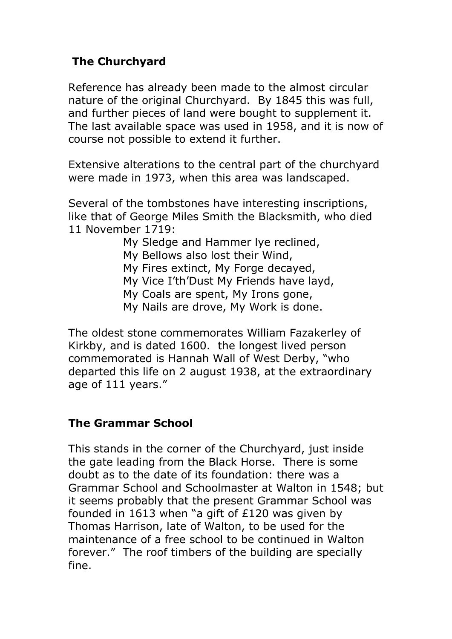# **The Churchyard**

Reference has already been made to the almost circular nature of the original Churchyard. By 1845 this was full, and further pieces of land were bought to supplement it. The last available space was used in 1958, and it is now of course not possible to extend it further.

Extensive alterations to the central part of the churchyard were made in 1973, when this area was landscaped.

Several of the tombstones have interesting inscriptions, like that of George Miles Smith the Blacksmith, who died 11 November 1719:

My Sledge and Hammer lye reclined,

My Bellows also lost their Wind,

My Fires extinct, My Forge decayed,

My Vice I'th'Dust My Friends have layd,

My Coals are spent, My Irons gone,

My Nails are drove, My Work is done.

The oldest stone commemorates William Fazakerley of Kirkby, and is dated 1600. the longest lived person commemorated is Hannah Wall of West Derby, "who departed this life on 2 august 1938, at the extraordinary age of 111 years."

#### **The Grammar School**

This stands in the corner of the Churchyard, just inside the gate leading from the Black Horse. There is some doubt as to the date of its foundation: there was a Grammar School and Schoolmaster at Walton in 1548; but it seems probably that the present Grammar School was founded in 1613 when "a gift of £120 was given by Thomas Harrison, late of Walton, to be used for the maintenance of a free school to be continued in Walton forever." The roof timbers of the building are specially fine.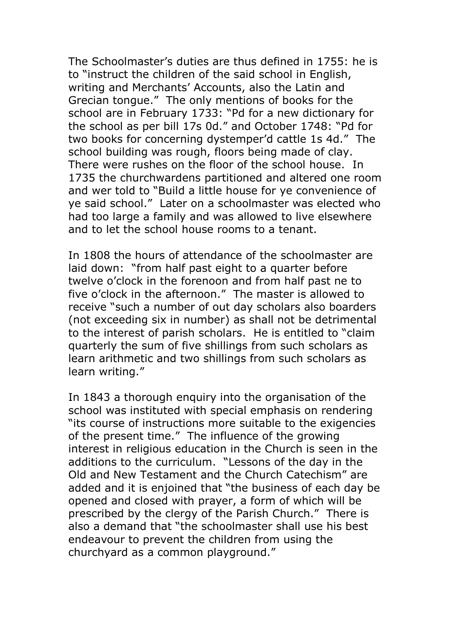The Schoolmaster's duties are thus defined in 1755: he is to "instruct the children of the said school in English, writing and Merchants' Accounts, also the Latin and Grecian tongue." The only mentions of books for the school are in February 1733: "Pd for a new dictionary for the school as per bill 17s 0d." and October 1748: "Pd for two books for concerning dystemper'd cattle 1s 4d." The school building was rough, floors being made of clay. There were rushes on the floor of the school house. In 1735 the churchwardens partitioned and altered one room and wer told to "Build a little house for ye convenience of ye said school." Later on a schoolmaster was elected who had too large a family and was allowed to live elsewhere and to let the school house rooms to a tenant.

In 1808 the hours of attendance of the schoolmaster are laid down: "from half past eight to a quarter before twelve o'clock in the forenoon and from half past ne to five o'clock in the afternoon." The master is allowed to receive "such a number of out day scholars also boarders (not exceeding six in number) as shall not be detrimental to the interest of parish scholars. He is entitled to "claim quarterly the sum of five shillings from such scholars as learn arithmetic and two shillings from such scholars as learn writing."

In 1843 a thorough enquiry into the organisation of the school was instituted with special emphasis on rendering "its course of instructions more suitable to the exigencies of the present time." The influence of the growing interest in religious education in the Church is seen in the additions to the curriculum. "Lessons of the day in the Old and New Testament and the Church Catechism" are added and it is enjoined that "the business of each day be opened and closed with prayer, a form of which will be prescribed by the clergy of the Parish Church." There is also a demand that "the schoolmaster shall use his best endeavour to prevent the children from using the churchyard as a common playground."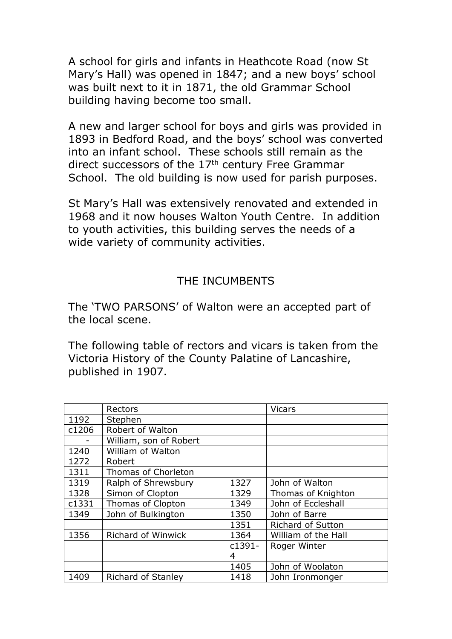A school for girls and infants in Heathcote Road (now St Mary's Hall) was opened in 1847; and a new boys' school was built next to it in 1871, the old Grammar School building having become too small.

A new and larger school for boys and girls was provided in 1893 in Bedford Road, and the boys' school was converted into an infant school. These schools still remain as the direct successors of the  $17<sup>th</sup>$  century Free Grammar School. The old building is now used for parish purposes.

St Mary's Hall was extensively renovated and extended in 1968 and it now houses Walton Youth Centre. In addition to youth activities, this building serves the needs of a wide variety of community activities.

#### THE INCUMBENTS

The 'TWO PARSONS' of Walton were an accepted part of the local scene.

The following table of rectors and vicars is taken from the Victoria History of the County Palatine of Lancashire, published in 1907.

|       | Rectors                   |           | <b>Vicars</b>            |
|-------|---------------------------|-----------|--------------------------|
| 1192  | Stephen                   |           |                          |
| c1206 | Robert of Walton          |           |                          |
|       | William, son of Robert    |           |                          |
| 1240  | William of Walton         |           |                          |
| 1272  | Robert                    |           |                          |
| 1311  | Thomas of Chorleton       |           |                          |
| 1319  | Ralph of Shrewsbury       | 1327      | John of Walton           |
| 1328  | Simon of Clopton          | 1329      | Thomas of Knighton       |
| c1331 | Thomas of Clopton         | 1349      | John of Eccleshall       |
| 1349  | John of Bulkington        | 1350      | John of Barre            |
|       |                           | 1351      | <b>Richard of Sutton</b> |
| 1356  | <b>Richard of Winwick</b> | 1364      | William of the Hall      |
|       |                           | $c1391 -$ | Roger Winter             |
|       |                           | 4         |                          |
|       |                           | 1405      | John of Woolaton         |
| 1409  | <b>Richard of Stanley</b> | 1418      | John Ironmonger          |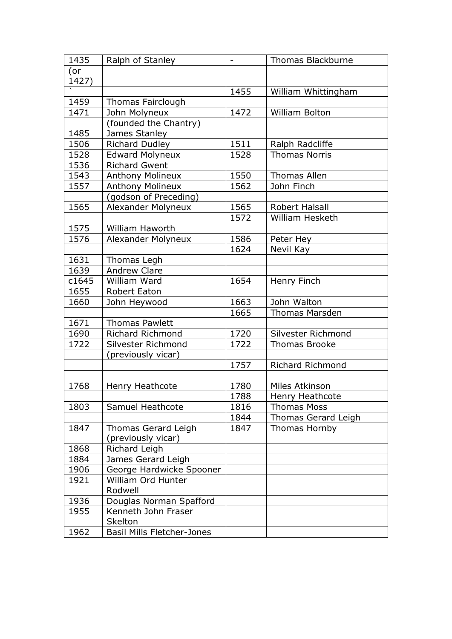| 1435  | Ralph of Stanley                  | $\overline{\phantom{a}}$ | Thomas Blackburne       |
|-------|-----------------------------------|--------------------------|-------------------------|
| (or   |                                   |                          |                         |
| 1427) |                                   |                          |                         |
|       |                                   | 1455                     | William Whittingham     |
| 1459  | <b>Thomas Fairclough</b>          |                          |                         |
| 1471  | John Molyneux                     | 1472                     | William Bolton          |
|       | (founded the Chantry)             |                          |                         |
| 1485  | James Stanley                     |                          |                         |
| 1506  | <b>Richard Dudley</b>             | 1511                     | Ralph Radcliffe         |
| 1528  | <b>Edward Molyneux</b>            | 1528                     | <b>Thomas Norris</b>    |
| 1536  | <b>Richard Gwent</b>              |                          |                         |
| 1543  | <b>Anthony Molineux</b>           | 1550                     | Thomas Allen            |
| 1557  | <b>Anthony Molineux</b>           | 1562                     | John Finch              |
|       | (godson of Preceding)             |                          |                         |
| 1565  | Alexander Molyneux                | 1565                     | Robert Halsall          |
|       |                                   | 1572                     | <b>William Hesketh</b>  |
| 1575  | William Haworth                   |                          |                         |
| 1576  | Alexander Molyneux                | 1586                     | Peter Hey               |
|       |                                   | 1624                     | Nevil Kay               |
| 1631  | Thomas Legh                       |                          |                         |
| 1639  | <b>Andrew Clare</b>               |                          |                         |
| c1645 | William Ward                      | 1654                     | Henry Finch             |
| 1655  | Robert Eaton                      |                          |                         |
| 1660  | John Heywood                      | 1663                     | John Walton             |
|       |                                   | 1665                     | <b>Thomas Marsden</b>   |
| 1671  | <b>Thomas Pawlett</b>             |                          |                         |
| 1690  | <b>Richard Richmond</b>           | 1720                     | Silvester Richmond      |
| 1722  | Silvester Richmond                | 1722                     | <b>Thomas Brooke</b>    |
|       | (previously vicar)                |                          |                         |
|       |                                   | 1757                     | <b>Richard Richmond</b> |
|       |                                   |                          |                         |
| 1768  | Henry Heathcote                   | 1780                     | Miles Atkinson          |
|       |                                   | 1788                     | Henry Heathcote         |
| 1803  | Samuel Heathcote                  | 1816                     | <b>Thomas Moss</b>      |
|       |                                   | 1844                     | Thomas Gerard Leigh     |
| 1847  | Thomas Gerard Leigh               | 1847                     | Thomas Hornby           |
|       | (previously vicar)                |                          |                         |
| 1868  | Richard Leigh                     |                          |                         |
| 1884  | James Gerard Leigh                |                          |                         |
| 1906  | George Hardwicke Spooner          |                          |                         |
| 1921  | William Ord Hunter                |                          |                         |
|       | Rodwell                           |                          |                         |
| 1936  | Douglas Norman Spafford           |                          |                         |
| 1955  | Kenneth John Fraser               |                          |                         |
|       | Skelton                           |                          |                         |
| 1962  | <b>Basil Mills Fletcher-Jones</b> |                          |                         |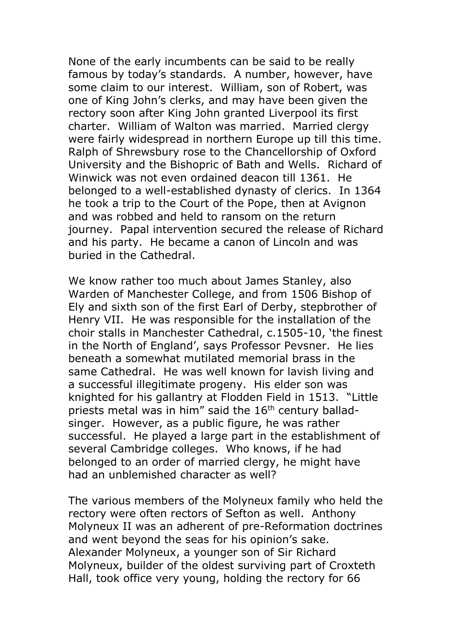None of the early incumbents can be said to be really famous by today's standards. A number, however, have some claim to our interest. William, son of Robert, was one of King John's clerks, and may have been given the rectory soon after King John granted Liverpool its first charter. William of Walton was married. Married clergy were fairly widespread in northern Europe up till this time. Ralph of Shrewsbury rose to the Chancellorship of Oxford University and the Bishopric of Bath and Wells. Richard of Winwick was not even ordained deacon till 1361. He belonged to a well-established dynasty of clerics. In 1364 he took a trip to the Court of the Pope, then at Avignon and was robbed and held to ransom on the return journey. Papal intervention secured the release of Richard and his party. He became a canon of Lincoln and was buried in the Cathedral.

We know rather too much about James Stanley, also Warden of Manchester College, and from 1506 Bishop of Ely and sixth son of the first Earl of Derby, stepbrother of Henry VII. He was responsible for the installation of the choir stalls in Manchester Cathedral, c.1505-10, 'the finest in the North of England', says Professor Pevsner. He lies beneath a somewhat mutilated memorial brass in the same Cathedral. He was well known for lavish living and a successful illegitimate progeny. His elder son was knighted for his gallantry at Flodden Field in 1513. "Little priests metal was in him" said the  $16<sup>th</sup>$  century balladsinger. However, as a public figure, he was rather successful. He played a large part in the establishment of several Cambridge colleges. Who knows, if he had belonged to an order of married clergy, he might have had an unblemished character as well?

The various members of the Molyneux family who held the rectory were often rectors of Sefton as well. Anthony Molyneux II was an adherent of pre-Reformation doctrines and went beyond the seas for his opinion's sake. Alexander Molyneux, a younger son of Sir Richard Molyneux, builder of the oldest surviving part of Croxteth Hall, took office very young, holding the rectory for 66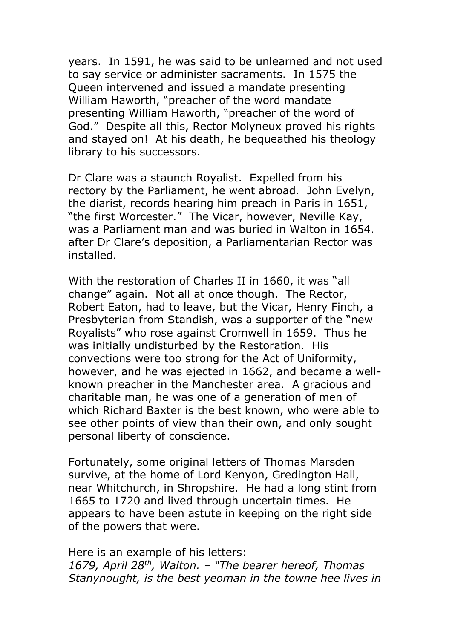years. In 1591, he was said to be unlearned and not used to say service or administer sacraments. In 1575 the Queen intervened and issued a mandate presenting William Haworth, "preacher of the word mandate presenting William Haworth, "preacher of the word of God." Despite all this, Rector Molyneux proved his rights and stayed on! At his death, he bequeathed his theology library to his successors.

Dr Clare was a staunch Royalist. Expelled from his rectory by the Parliament, he went abroad. John Evelyn, the diarist, records hearing him preach in Paris in 1651, "the first Worcester." The Vicar, however, Neville Kay, was a Parliament man and was buried in Walton in 1654. after Dr Clare's deposition, a Parliamentarian Rector was installed.

With the restoration of Charles II in 1660, it was "all change" again. Not all at once though. The Rector, Robert Eaton, had to leave, but the Vicar, Henry Finch, a Presbyterian from Standish, was a supporter of the "new Royalists" who rose against Cromwell in 1659. Thus he was initially undisturbed by the Restoration. His convections were too strong for the Act of Uniformity, however, and he was ejected in 1662, and became a wellknown preacher in the Manchester area. A gracious and charitable man, he was one of a generation of men of which Richard Baxter is the best known, who were able to see other points of view than their own, and only sought personal liberty of conscience.

Fortunately, some original letters of Thomas Marsden survive, at the home of Lord Kenyon, Gredington Hall, near Whitchurch, in Shropshire. He had a long stint from 1665 to 1720 and lived through uncertain times. He appears to have been astute in keeping on the right side of the powers that were.

Here is an example of his letters: *1679, April 28th, Walton. – "The bearer hereof, Thomas Stanynought, is the best yeoman in the towne hee lives in*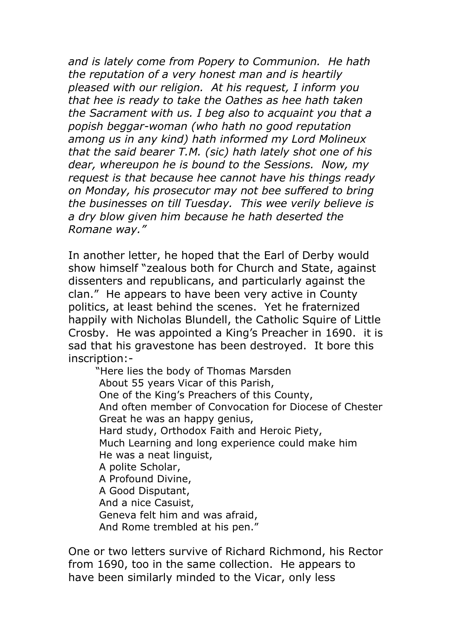*and is lately come from Popery to Communion. He hath the reputation of a very honest man and is heartily pleased with our religion. At his request, I inform you that hee is ready to take the Oathes as hee hath taken the Sacrament with us. I beg also to acquaint you that a popish beggar-woman (who hath no good reputation among us in any kind) hath informed my Lord Molineux that the said bearer T.M. (sic) hath lately shot one of his dear, whereupon he is bound to the Sessions. Now, my request is that because hee cannot have his things ready on Monday, his prosecutor may not bee suffered to bring the businesses on till Tuesday. This wee verily believe is a dry blow given him because he hath deserted the Romane way."*

In another letter, he hoped that the Earl of Derby would show himself "zealous both for Church and State, against dissenters and republicans, and particularly against the clan." He appears to have been very active in County politics, at least behind the scenes. Yet he fraternized happily with Nicholas Blundell, the Catholic Squire of Little Crosby. He was appointed a King's Preacher in 1690. it is sad that his gravestone has been destroyed. It bore this inscription:-

"Here lies the body of Thomas Marsden About 55 years Vicar of this Parish, One of the King's Preachers of this County, And often member of Convocation for Diocese of Chester Great he was an happy genius, Hard study, Orthodox Faith and Heroic Piety, Much Learning and long experience could make him He was a neat linguist, A polite Scholar, A Profound Divine, A Good Disputant, And a nice Casuist, Geneva felt him and was afraid, And Rome trembled at his pen."

One or two letters survive of Richard Richmond, his Rector from 1690, too in the same collection. He appears to have been similarly minded to the Vicar, only less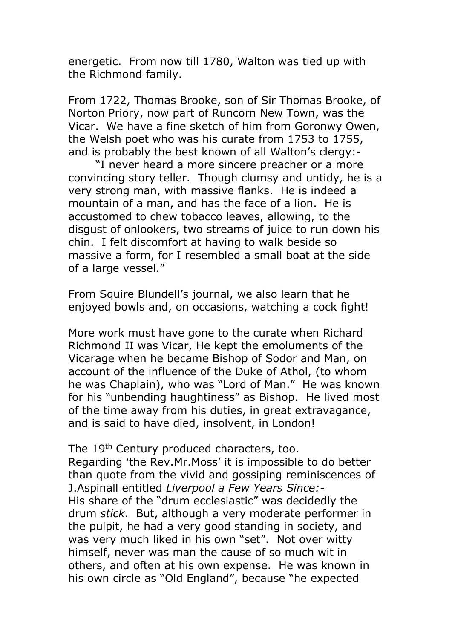energetic. From now till 1780, Walton was tied up with the Richmond family.

From 1722, Thomas Brooke, son of Sir Thomas Brooke, of Norton Priory, now part of Runcorn New Town, was the Vicar. We have a fine sketch of him from Goronwy Owen, the Welsh poet who was his curate from 1753 to 1755, and is probably the best known of all Walton's clergy:-

"I never heard a more sincere preacher or a more convincing story teller. Though clumsy and untidy, he is a very strong man, with massive flanks. He is indeed a mountain of a man, and has the face of a lion. He is accustomed to chew tobacco leaves, allowing, to the disgust of onlookers, two streams of juice to run down his chin. I felt discomfort at having to walk beside so massive a form, for I resembled a small boat at the side of a large vessel."

From Squire Blundell's journal, we also learn that he enjoyed bowls and, on occasions, watching a cock fight!

More work must have gone to the curate when Richard Richmond II was Vicar, He kept the emoluments of the Vicarage when he became Bishop of Sodor and Man, on account of the influence of the Duke of Athol, (to whom he was Chaplain), who was "Lord of Man." He was known for his "unbending haughtiness" as Bishop. He lived most of the time away from his duties, in great extravagance, and is said to have died, insolvent, in London!

The 19<sup>th</sup> Century produced characters, too. Regarding 'the Rev.Mr.Moss' it is impossible to do better than quote from the vivid and gossiping reminiscences of J.Aspinall entitled *Liverpool a Few Years Since:-* His share of the "drum ecclesiastic" was decidedly the drum *stick*. But, although a very moderate performer in the pulpit, he had a very good standing in society, and was very much liked in his own "set". Not over witty himself, never was man the cause of so much wit in others, and often at his own expense. He was known in his own circle as "Old England", because "he expected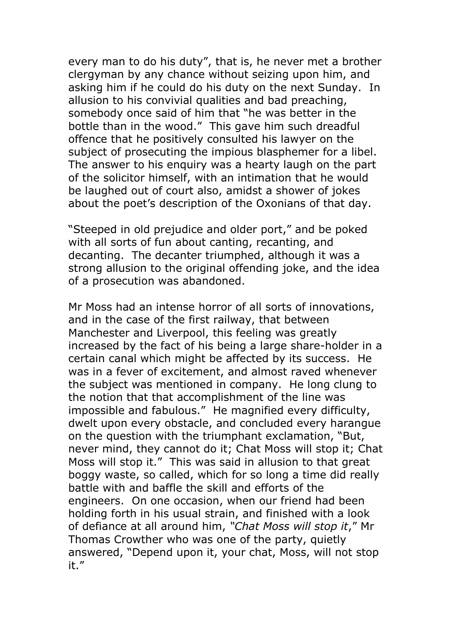every man to do his duty", that is, he never met a brother clergyman by any chance without seizing upon him, and asking him if he could do his duty on the next Sunday. In allusion to his convivial qualities and bad preaching, somebody once said of him that "he was better in the bottle than in the wood." This gave him such dreadful offence that he positively consulted his lawyer on the subject of prosecuting the impious blasphemer for a libel. The answer to his enquiry was a hearty laugh on the part of the solicitor himself, with an intimation that he would be laughed out of court also, amidst a shower of jokes about the poet's description of the Oxonians of that day.

"Steeped in old prejudice and older port," and be poked with all sorts of fun about canting, recanting, and decanting. The decanter triumphed, although it was a strong allusion to the original offending joke, and the idea of a prosecution was abandoned.

Mr Moss had an intense horror of all sorts of innovations, and in the case of the first railway, that between Manchester and Liverpool, this feeling was greatly increased by the fact of his being a large share-holder in a certain canal which might be affected by its success. He was in a fever of excitement, and almost raved whenever the subject was mentioned in company. He long clung to the notion that that accomplishment of the line was impossible and fabulous." He magnified every difficulty, dwelt upon every obstacle, and concluded every harangue on the question with the triumphant exclamation, "But, never mind, they cannot do it; Chat Moss will stop it; Chat Moss will stop it." This was said in allusion to that great boggy waste, so called, which for so long a time did really battle with and baffle the skill and efforts of the engineers. On one occasion, when our friend had been holding forth in his usual strain, and finished with a look of defiance at all around him, *"Chat Moss will stop it*," Mr Thomas Crowther who was one of the party, quietly answered, "Depend upon it, your chat, Moss, will not stop it."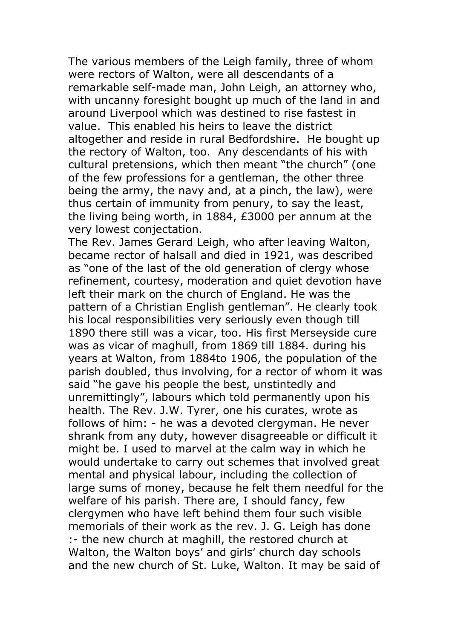The various members of the Leigh family, three of whom were rectors of Walton, were all descendants of a remarkable self-made man, John Leigh, an attorney who, with uncanny foresight bought up much of the land in and around Liverpool which was destined to rise fastest in value. This enabled his heirs to leave the district altogether and reside in rural Bedfordshire. He bought up the rectory of Walton, too. Any descendants of his with cultural pretensions, which then meant "the church" (one of the few professions for a gentleman, the other three being the army, the navy and, at a pinch, the law), were thus certain of immunity from penury, to say the least, the living being worth, in 1884, £3000 per annum at the very lowest conjectation.

The Rev. James Gerard Leigh, who after leaving Walton, became rector of halsall and died in 1921, was described as "one of the last of the old generation of clergy whose refinement, courtesy, moderation and quiet devotion have left their mark on the church of England. He was the pattern of a Christian English gentleman". He clearly took his local responsibilities very seriously even though till 1890 there still was a vicar, too. His first Merseyside cure was as vicar of maghull, from 1869 till 1884. during his years at Walton, from 1884to 1906, the population of the parish doubled, thus involving, for a rector of whom it was said "he gave his people the best, unstintedly and unremittingly", labours which told permanently upon his health. The Rev. J.W. Tyrer, one his curates, wrote as follows of him: - he was a devoted clergyman. He never shrank from any duty, however disagreeable or difficult it might be. I used to marvel at the calm way in which he would undertake to carry out schemes that involved great mental and physical labour, including the collection of large sums of money, because he felt them needful for the welfare of his parish. There are, I should fancy, few clergymen who have left behind them four such visible memorials of their work as the rev. J. G. Leigh has done :- the new church at maghill, the restored church at Walton, the Walton boys' and girls' church day schools and the new church of St. Luke, Walton. It may be said of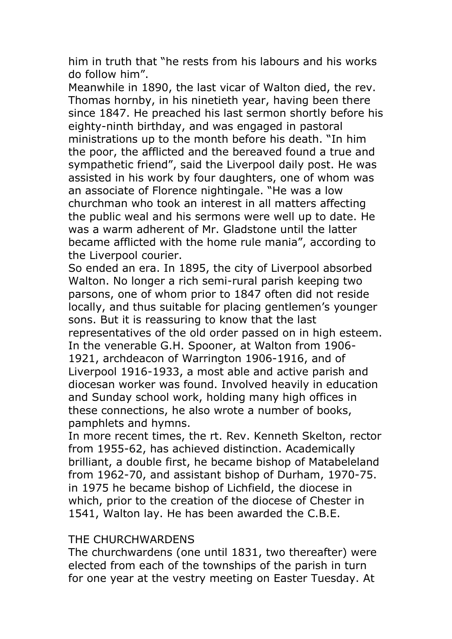him in truth that "he rests from his labours and his works do follow him".

Meanwhile in 1890, the last vicar of Walton died, the rev. Thomas hornby, in his ninetieth year, having been there since 1847. He preached his last sermon shortly before his eighty-ninth birthday, and was engaged in pastoral ministrations up to the month before his death. "In him the poor, the afflicted and the bereaved found a true and sympathetic friend", said the Liverpool daily post. He was assisted in his work by four daughters, one of whom was an associate of Florence nightingale. "He was a low churchman who took an interest in all matters affecting the public weal and his sermons were well up to date. He was a warm adherent of Mr. Gladstone until the latter became afflicted with the home rule mania", according to the Liverpool courier.

So ended an era. In 1895, the city of Liverpool absorbed Walton. No longer a rich semi-rural parish keeping two parsons, one of whom prior to 1847 often did not reside locally, and thus suitable for placing gentlemen's younger sons. But it is reassuring to know that the last representatives of the old order passed on in high esteem. In the venerable G.H. Spooner, at Walton from 1906- 1921, archdeacon of Warrington 1906-1916, and of Liverpool 1916-1933, a most able and active parish and diocesan worker was found. Involved heavily in education and Sunday school work, holding many high offices in these connections, he also wrote a number of books, pamphlets and hymns.

In more recent times, the rt. Rev. Kenneth Skelton, rector from 1955-62, has achieved distinction. Academically brilliant, a double first, he became bishop of Matabeleland from 1962-70, and assistant bishop of Durham, 1970-75. in 1975 he became bishop of Lichfield, the diocese in which, prior to the creation of the diocese of Chester in 1541, Walton lay. He has been awarded the C.B.E.

#### THE CHURCHWARDENS

The churchwardens (one until 1831, two thereafter) were elected from each of the townships of the parish in turn for one year at the vestry meeting on Easter Tuesday. At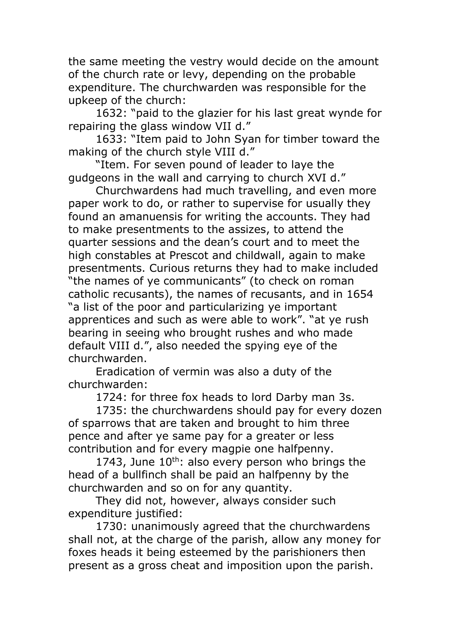the same meeting the vestry would decide on the amount of the church rate or levy, depending on the probable expenditure. The churchwarden was responsible for the upkeep of the church:

1632: "paid to the glazier for his last great wynde for repairing the glass window VII d."

1633: "Item paid to John Syan for timber toward the making of the church style VIII d."

"Item. For seven pound of leader to laye the gudgeons in the wall and carrying to church XVI d."

Churchwardens had much travelling, and even more paper work to do, or rather to supervise for usually they found an amanuensis for writing the accounts. They had to make presentments to the assizes, to attend the quarter sessions and the dean's court and to meet the high constables at Prescot and childwall, again to make presentments. Curious returns they had to make included "the names of ye communicants" (to check on roman catholic recusants), the names of recusants, and in 1654 "a list of the poor and particularizing ye important apprentices and such as were able to work". "at ye rush bearing in seeing who brought rushes and who made default VIII d.", also needed the spying eye of the churchwarden.

Eradication of vermin was also a duty of the churchwarden:

1724: for three fox heads to lord Darby man 3s.

1735: the churchwardens should pay for every dozen of sparrows that are taken and brought to him three pence and after ye same pay for a greater or less contribution and for every magpie one halfpenny.

1743, June  $10^{th}$ : also every person who brings the head of a bullfinch shall be paid an halfpenny by the churchwarden and so on for any quantity.

They did not, however, always consider such expenditure justified:

1730: unanimously agreed that the churchwardens shall not, at the charge of the parish, allow any money for foxes heads it being esteemed by the parishioners then present as a gross cheat and imposition upon the parish.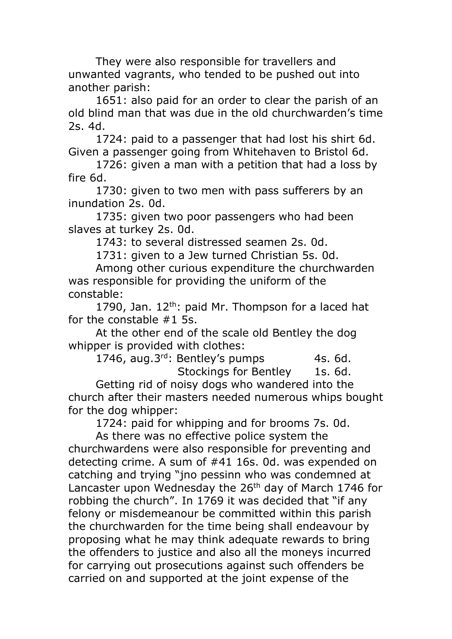They were also responsible for travellers and unwanted vagrants, who tended to be pushed out into another parish:

1651: also paid for an order to clear the parish of an old blind man that was due in the old churchwarden's time 2s. 4d.

1724: paid to a passenger that had lost his shirt 6d. Given a passenger going from Whitehaven to Bristol 6d.

1726: given a man with a petition that had a loss by fire 6d.

1730: given to two men with pass sufferers by an inundation 2s. 0d.

1735: given two poor passengers who had been slaves at turkey 2s. 0d.

1743: to several distressed seamen 2s. 0d.

1731: given to a Jew turned Christian 5s. 0d.

Among other curious expenditure the churchwarden was responsible for providing the uniform of the constable:

1790, Jan. 12<sup>th</sup>: paid Mr. Thompson for a laced hat for the constable #1 5s.

At the other end of the scale old Bentley the dog whipper is provided with clothes:

1746, aug.  $3^{rd}$ : Bentley's pumps 4s. 6d.

Stockings for Bentley 1s. 6d.

Getting rid of noisy dogs who wandered into the church after their masters needed numerous whips bought for the dog whipper:

1724: paid for whipping and for brooms 7s. 0d.

As there was no effective police system the

churchwardens were also responsible for preventing and detecting crime. A sum of #41 16s. 0d. was expended on catching and trying "jno pessinn who was condemned at Lancaster upon Wednesday the  $26<sup>th</sup>$  day of March 1746 for robbing the church". In 1769 it was decided that "if any felony or misdemeanour be committed within this parish the churchwarden for the time being shall endeavour by proposing what he may think adequate rewards to bring the offenders to justice and also all the moneys incurred for carrying out prosecutions against such offenders be carried on and supported at the joint expense of the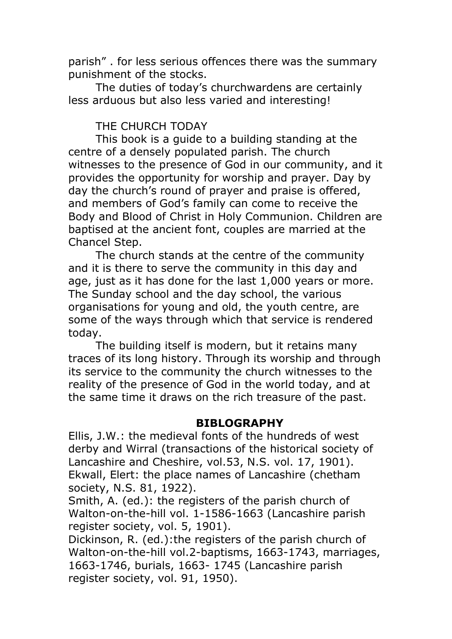parish" . for less serious offences there was the summary punishment of the stocks.

The duties of today's churchwardens are certainly less arduous but also less varied and interesting!

#### THE CHURCH TODAY

This book is a guide to a building standing at the centre of a densely populated parish. The church witnesses to the presence of God in our community, and it provides the opportunity for worship and prayer. Day by day the church's round of prayer and praise is offered, and members of God's family can come to receive the Body and Blood of Christ in Holy Communion. Children are baptised at the ancient font, couples are married at the Chancel Step.

The church stands at the centre of the community and it is there to serve the community in this day and age, just as it has done for the last 1,000 years or more. The Sunday school and the day school, the various organisations for young and old, the youth centre, are some of the ways through which that service is rendered today.

The building itself is modern, but it retains many traces of its long history. Through its worship and through its service to the community the church witnesses to the reality of the presence of God in the world today, and at the same time it draws on the rich treasure of the past.

#### **BIBLOGRAPHY**

Ellis, J.W.: the medieval fonts of the hundreds of west derby and Wirral (transactions of the historical society of Lancashire and Cheshire, vol.53, N.S. vol. 17, 1901). Ekwall, Elert: the place names of Lancashire (chetham society, N.S. 81, 1922).

Smith, A. (ed.): the registers of the parish church of Walton-on-the-hill vol. 1-1586-1663 (Lancashire parish register society, vol. 5, 1901).

Dickinson, R. (ed.):the registers of the parish church of Walton-on-the-hill vol.2-baptisms, 1663-1743, marriages, 1663-1746, burials, 1663- 1745 (Lancashire parish register society, vol. 91, 1950).